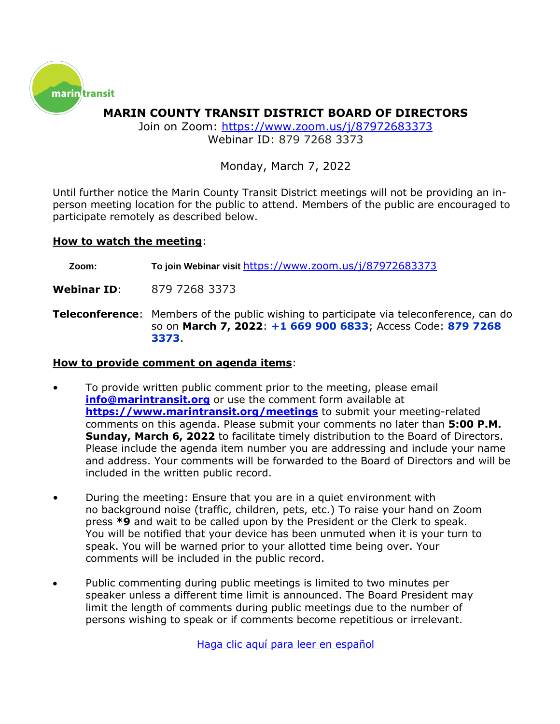

**MARIN COUNTY TRANSIT DISTRICT BOARD OF DIRECTORS**

Join on Zoom:<https://www.zoom.us/j/87972683373> Webinar ID: 879 7268 3373

### Monday, March 7, 2022

Until further notice the Marin County Transit District meetings will not be providing an inperson meeting location for the public to attend. Members of the public are encouraged to participate remotely as described below.

### **How to watch the meeting**:

**Zoom: To join Webinar visit** <https://www.zoom.us/j/87972683373>

**Webinar ID**: 879 7268 3373

**Teleconference**: Members of the public wishing to participate via teleconference, can do so on **March 7, 2022**: **+1 669 900 6833**; Access Code: **879 7268 3373**.

### **How to provide comment on agenda items**:

- To provide written public comment prior to the meeting, please email **[info@marintransit.org](mailto:info@marintransit.org)** or use the comment form available at **<https://www.marintransit.org/meetings>** to submit your meeting-related comments on this agenda. Please submit your comments no later than **5:00 P.M. Sunday, March 6, 2022** to facilitate timely distribution to the Board of Directors. Please include the agenda item number you are addressing and include your name and address. Your comments will be forwarded to the Board of Directors and will be included in the written public record.
- During the meeting: Ensure that you are in a quiet environment with no background noise (traffic, children, pets, etc.) To raise your hand on Zoom press **\*9** and wait to be called upon by the President or the Clerk to speak. You will be notified that your device has been unmuted when it is your turn to speak. You will be warned prior to your allotted time being over. Your comments will be included in the public record.
- Public commenting during public meetings is limited to two minutes per speaker unless a different time limit is announced. The Board President may limit the length of comments during public meetings due to the number of persons wishing to speak or if comments become repetitious or irrelevant.

[Haga clic aquí para leer](https://marintransit.org/sites/default/files/events/2021/11012021%20Board%20Packet%20-%20Espanol-Spanish.pdf) en español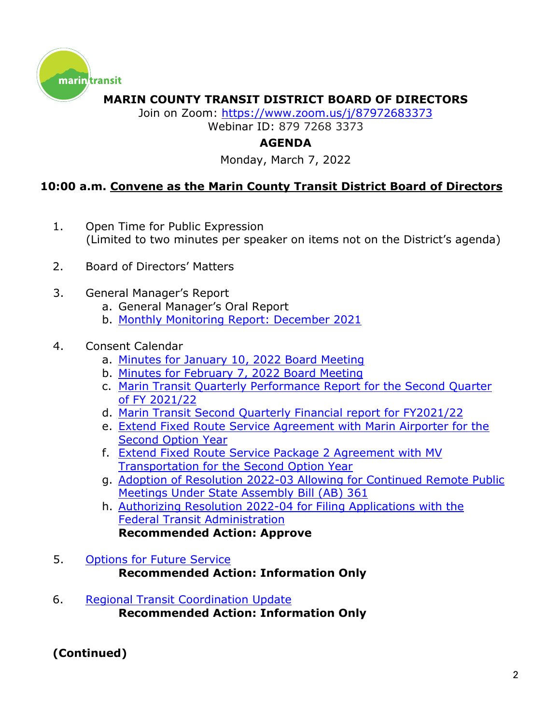

## **MARIN COUNTY TRANSIT DISTRICT BOARD OF DIRECTORS**

Join on Zoom: <https://www.zoom.us/j/87972683373> Webinar ID: 879 7268 3373

# **AGENDA**

Monday, March 7, 2022

# **10:00 a.m. Convene as the Marin County Transit District Board of Directors**

- 1. Open Time for Public Expression (Limited to two minutes per speaker on items not on the District's agenda)
- 2. Board of Directors' Matters
- 3. General Manager's Report
	- a. General Manager's Oral Report
	- b. [Monthly Monitoring Report: December](https://marin.granicus.com/MetaViewer.php?view_id=31&event_id=2979&meta_id=1179142) 2021

### 4. Consent Calendar

- a. Minutes for [January 10, 2022 Board Meeting](https://marin.granicus.com/MetaViewer.php?view_id=31&event_id=2979&meta_id=1179144)
- b. Minutes for February [7, 2022 Board Meeting](https://marin.granicus.com/MetaViewer.php?view_id=31&event_id=2979&meta_id=1179146)
- c. [Marin Transit Quarterly Performance Report for the Second Quarter](https://marin.granicus.com/MetaViewer.php?view_id=31&event_id=2979&meta_id=1179148)  [of FY 2021/22](https://marin.granicus.com/MetaViewer.php?view_id=31&event_id=2979&meta_id=1179148)
- d. [Marin Transit Second Quarterly Financial report](https://marin.granicus.com/MetaViewer.php?view_id=31&event_id=2979&meta_id=1179150) for FY2021/22
- e. [Extend Fixed Route Service Agreement with Marin Airporter for the](https://marin.granicus.com/MetaViewer.php?view_id=31&event_id=2979&meta_id=1179152)  [Second Option Year](https://marin.granicus.com/MetaViewer.php?view_id=31&event_id=2979&meta_id=1179152)
- f. [Extend Fixed Route Service Package 2 Agreement with MV](https://marin.granicus.com/MetaViewer.php?view_id=31&event_id=2979&meta_id=1179154)  [Transportation for the Second Option Year](https://marin.granicus.com/MetaViewer.php?view_id=31&event_id=2979&meta_id=1179154)
- g. [Adoption of Resolution 2022-03 Allowing](https://marin.granicus.com/MetaViewer.php?view_id=31&event_id=2979&meta_id=1179156) for Continued Remote Public [Meetings Under State Assembly Bill \(AB\) 361](https://marin.granicus.com/MetaViewer.php?view_id=31&event_id=2979&meta_id=1179156)
- h. [Authorizing Resolution 2022-04 for Filing Applications with the](https://marin.granicus.com/MetaViewer.php?view_id=31&event_id=2979&meta_id=1179158)  [Federal Transit Administration](https://marin.granicus.com/MetaViewer.php?view_id=31&event_id=2979&meta_id=1179158) **Recommended Action: Approve**
- 5. [Options for Future Service](https://marin.granicus.com/MetaViewer.php?view_id=31&event_id=2979&meta_id=1179160) **Recommended Action: Information Only**
- 6. [Regional Transit Coordination](https://marin.granicus.com/MetaViewer.php?view_id=31&event_id=2979&meta_id=1179162) Update **Recommended Action: Information Only**

### **(Continued)**